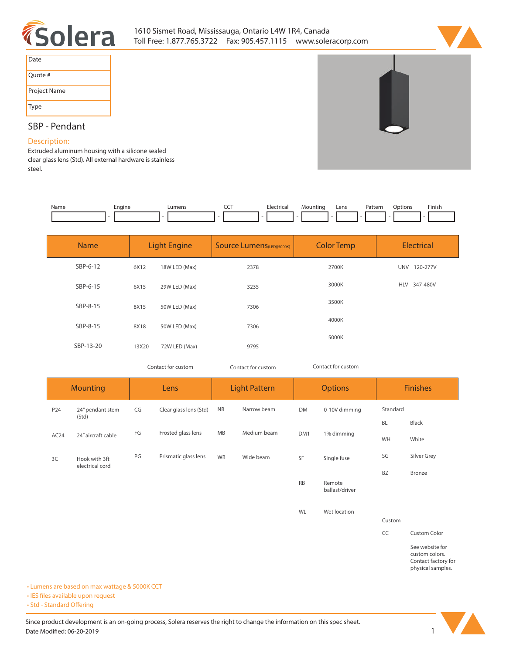



| Date         |
|--------------|
| Quote #      |
| Project Name |
| Type         |

# **SBP - Pendant**

### **Description:**

**Extruded aluminum housing with a silicone sealed clear glass lens (Std). All external hardware is stainless steel.** 

| Name | Engine<br>- - | <b>IIMAN</b> | $\overline{\phantom{a}}$ | clec <sup>1</sup><br>:trical<br>. | Mounting | Lens | Pattern<br>. | ption <sup>.</sup> | <b>Finish</b> |
|------|---------------|--------------|--------------------------|-----------------------------------|----------|------|--------------|--------------------|---------------|
|      |               |              |                          |                                   |          |      |              |                    |               |

| <b>Name</b> | <b>Light Engine</b> |               | <b>Source Lumens</b> (LED)(5000K) | <b>Color Temp</b> | <b>Electrical</b>      |  |
|-------------|---------------------|---------------|-----------------------------------|-------------------|------------------------|--|
| SBP-6-12    | 6X12                | 18W LED (Max) | 2378                              | 2700K             | 120-277V<br><b>UNV</b> |  |
| SBP-6-15    | 6X15                | 29W LED (Max) | 3235                              | 3000K             | HLV 347-480V           |  |
| SBP-8-15    | 8X15                | 50W LED (Max) | 7306                              | 3500K             |                        |  |
| SBP-8-15    | 8X18                | 50W LED (Max) | 7306                              | 4000K             |                        |  |
| SBP-13-20   | 13X20               | 72W LED (Max) | 9795                              | 5000K             |                        |  |

*Contact for custom Contact for custom*

*Contact for custom*

| <b>Mounting</b>     |                           | Lens |                        | <b>Light Pattern</b> |             | <b>Options</b> |                          | <b>Finishes</b> |                     |
|---------------------|---------------------------|------|------------------------|----------------------|-------------|----------------|--------------------------|-----------------|---------------------|
| P24                 | 24" pendant stem<br>(Std) | CG   | Clear glass lens (Std) | NB                   | Narrow beam | <b>DM</b>      | 0-10V dimming            | Standard        |                     |
|                     |                           |      |                        |                      |             | <b>BL</b>      | Black                    |                 |                     |
| AC <sub>24</sub>    | 24" aircraft cable        | FG   | Frosted glass lens     | MB                   | Medium beam | DM1            | 1% dimming               | WH              | White               |
| 3C<br>Hook with 3ft |                           | PG   | Prismatic glass lens   | WB                   | Wide beam   | SF             | Single fuse              | SG              | Silver Grey         |
|                     | electrical cord           |      |                        |                      |             |                |                          | <b>BZ</b>       | Bronze              |
|                     |                           |      |                        |                      |             | <b>RB</b>      | Remote<br>ballast/driver |                 |                     |
|                     |                           |      |                        |                      |             | WL             | Wet location             |                 |                     |
|                     |                           |      |                        |                      |             |                |                          | Custom          |                     |
|                     |                           |      |                        |                      |             |                |                          | CC              | <b>Custom Color</b> |
|                     |                           |      |                        |                      |             |                |                          |                 | See website for     |

**custom colors. Contact factory for physical samples.** 

**• Lumens are based on max wattage & 5000K CCT**

**• IES files available upon request** 

• Std - Standard Offering